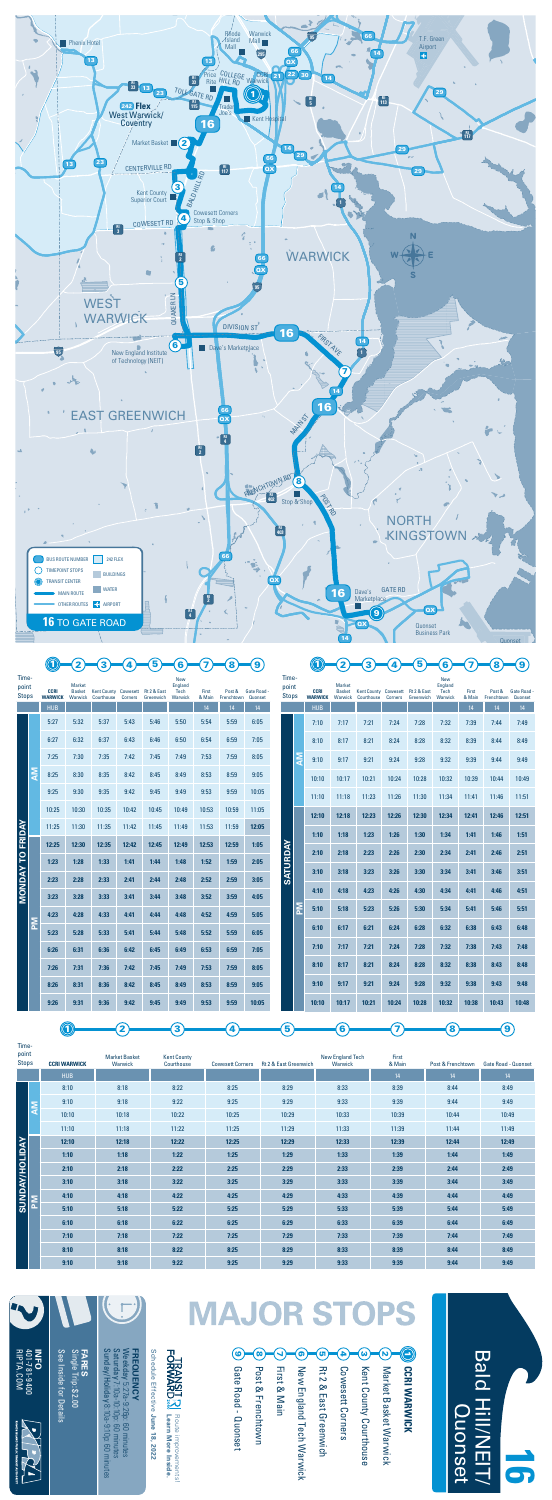Bald Hill/NEIT/

 $\leq$ 

**Bald** 

Quonset

Iuonset





|                         | <b>NA</b> | 8:25  | 8:30  | 8:35  | 8:42  | 8:45  | 8:49  | 8:53  | 8:59  | 9:05  |          |                         | 10:10 | 10:17 | 10:21 | 10:24 | 10:28 | 10:32 | 10:39 | 10:44 | 10:49 |
|-------------------------|-----------|-------|-------|-------|-------|-------|-------|-------|-------|-------|----------|-------------------------|-------|-------|-------|-------|-------|-------|-------|-------|-------|
|                         |           | 9:25  | 9:30  | 9:35  | 9:42  | 9:45  | 9:49  | 9:53  | 9:59  | 10:05 |          |                         | 11:10 | 11:18 | 11:23 | 11:26 | 11:30 | 11:34 | 11:41 | 11:46 | 11:51 |
|                         |           | 10:25 | 10:30 | 10:35 | 10:42 | 10:45 | 10:49 | 10:53 | 10:59 | 11:05 |          |                         | 12:10 | 12:18 | 12:23 | 12:26 | 12:30 | 12:34 | 12:41 | 12:46 | 12:51 |
|                         |           | 11:25 | 11:30 | 11:35 | 11:42 | 11:45 | 11:49 | 11:53 | 11:59 | 12:05 |          |                         | 1:10  | 1:18  | 1:23  | 1:26  | 1:30  | 1:34  | 1:41  | 1:46  | 1:51  |
| <b>MONDAY TO FRIDAY</b> |           | 12:25 | 12:30 | 12:35 | 12:42 | 12:45 | 12:49 | 12:53 | 12:59 | 1:05  |          |                         | 2:10  | 2:18  | 2:23  | 2:26  | 2:30  | 2:34  | 2:41  | 2:46  | 2:51  |
|                         |           | 1:23  | 1:28  | 1:33  | 1:41  | 1:44  | 1:48  | 1:52  | 1:59  | 2:05  | SATURDAY |                         |       |       |       |       |       |       |       |       |       |
|                         |           | 2:23  | 2:28  | 2:33  | 2:41  | 2:44  | 2:48  | 2:52  | 2:59  | 3:05  |          |                         | 3:10  | 3:18  | 3:23  | 3:26  | 3:30  | 3:34  | 3:41  | 3:46  | 3:51  |
|                         |           | 3:23  | 3:28  | 3:33  | 3:41  | 3:44  | 3:48  | 3:52  | 3:59  | 4:05  |          |                         | 4:10  | 4:18  | 4:23  | 4:26  | 4:30  | 4:34  | 4:41  | 4:46  | 4:51  |
|                         |           | 4:23  | 4:28  | 4:33  | 4:41  | 4:44  | 4:48  | 4:52  | 4:59  | 5:05  |          | $\overline{\mathsf{M}}$ | 5:10  | 5:18  | 5:23  | 5:26  | 5:30  | 5:34  | 5:41  | 5:46  | 5:51  |
|                         | M         | 5:23  | 5:28  | 5:33  | 5:41  | 5:44  | 5:48  | 5:52  | 5:59  | 6:05  |          |                         | 6:10  | 6:17  | 6:21  | 6:24  | 6:28  | 6:32  | 6:38  | 6:43  | 6:48  |
|                         |           | 6:26  | 6:31  | 6:36  | 6:42  | 6:45  | 6:49  | 6:53  | 6:59  | 7:05  |          |                         | 7:10  | 7:17  | 7:21  | 7:24  | 7:28  | 7:32  | 7:38  | 7:43  | 7:48  |
|                         |           | 7:26  | 7:31  | 7:36  | 7:42  | 7:45  | 7:49  | 7:53  | 7:59  | 8:05  |          |                         | 8:10  | 8:17  | 8:21  | 8:24  | 8:28  | 8:32  | 8:38  | 8:43  | 8:48  |
|                         |           | 8:26  | 8:31  | 8:36  | 8:42  | 8:45  | 8:49  | 8:53  | 8:59  | 9:05  |          |                         | 9:10  | 9:17  | 9:21  | 9:24  | 9:28  | 9:32  | 9:38  | 9:43  | 9:48  |
|                         |           | 9:26  | 9:31  | 9:36  | 9:42  | 9:45  | 9:49  | 9:53  | 9:59  | 10:05 |          |                         | 10:10 | 10:17 | 10:21 | 10:24 | 10:28 | 10:32 | 10:38 | 10:43 | 10:48 |
|                         |           |       |       |       |       |       |       |       |       |       |          |                         |       |       |       |       |       |       |       |       |       |

 $\Omega$ (ම 8 5  $\overline{4}$  $\boldsymbol{\omega}$  $\blacktriangleleft$  $\bullet$ -Gate Road - Quonset **Rt 2 & East Greenwich** Market Basket Warwick CCRI WARWICK First & Main New England Tech Warwick Cowesett Corners Post & Frenchtown Kent County Courthouse Gate Road - Quonset Post & Frenchtown First & Main New England Tech Warwick Rt 2 & East Greenwich Cowesett Corners Kent County Courthouse Market Basket Warwick **CCRI WARWICK**

16<br>67

| $001 - 781 - 9400$<br>RIPTA.COM<br><b>NHO</b> | Single Trip: \$2.00<br>See Inside for Details<br><b>FARES</b> | Sunday/Holiday 8:10a-9:10p: 60 minutes<br>Saturday 7:10a-10:10p: 60 minutes<br>Weekday 5:27a-9:26p: 60 minutes<br><b>FREQUENCY</b> | Schedule Effective June 18, 2022 |
|-----------------------------------------------|---------------------------------------------------------------|------------------------------------------------------------------------------------------------------------------------------------|----------------------------------|
| RHODE ISLAND PUBLIC TRANSIT AUTHORITY         |                                                               |                                                                                                                                    |                                  |

**Learn More Inside.** Route improvements!

Route improvements!<br>Learn More Inside.

FORWARD.<br>FORWARD.

## **MAJOR STOPS**

Timepoint



| <b>Stops</b>          | <b>CCRI WARWICK</b> | Warwick | Courthouse | <b>Cowesett Corners</b> | Rt 2 & East Greenwich | Warwick | & Main | Post & Frenchtown | <b>Gate Road - Quonset</b> |
|-----------------------|---------------------|---------|------------|-------------------------|-----------------------|---------|--------|-------------------|----------------------------|
|                       | <b>HUB</b>          |         |            |                         |                       |         | 14     | 14                | 14                         |
|                       | 8:10                | 8:18    | 8:22       | 8:25                    | 8:29                  | 8:33    | 8:39   | 8:44              | 8:49                       |
|                       | 9:10                | 9:18    | 9:22       | 9:25                    | 9:29                  | 9:33    | 9:39   | 9:44              | 9:49                       |
|                       | 10:10               | 10:18   | 10:22      | 10:25                   | 10:29                 | 10:33   | 10:39  | 10:44             | 10:49                      |
|                       | 11:10               | 11:18   | 11:22      | 11:25                   | 11:29                 | 11:33   | 11:39  | 11:44             | 11:49                      |
|                       | 12:10               | 12:18   | 12:22      | 12:25                   | 12:29                 | 12:33   | 12:39  | 12:44             | 12:49                      |
|                       | 1:10                | 1:18    | 1:22       | 1:25                    | 1:29                  | 1:33    | 1:39   | 1:44              | 1:49                       |
|                       | 2:10                | 2:18    | 2:22       | 2:25                    | 2:29                  | 2:33    | 2:39   | 2:44              | 2:49                       |
|                       | 3:10                | 3:18    | 3:22       | 3:25                    | 3:29                  | 3:33    | 3:39   | 3:44              | 3:49                       |
| <b>SUNDAY/HOLIDAY</b> | 4:10                | 4:18    | 4:22       | 4:25                    | 4:29                  | 4:33    | 4:39   | 4:44              | 4:49                       |
|                       | 5:10                | 5:18    | 5:22       | 5:25                    | 5:29                  | 5:33    | 5:39   | 5:44              | 5:49                       |
|                       | 6:10                | 6:18    | 6:22       | 6:25                    | 6:29                  | 6:33    | 6:39   | 6:44              | 6:49                       |
|                       | 7:10                | 7:18    | 7:22       | 7:25                    | 7:29                  | 7:33    | 7:39   | 7:44              | 7:49                       |
|                       | 8:10                | 8:18    | 8:22       | 8:25                    | 8:29                  | 8:33    | 8:39   | 8:44              | 8:49                       |
|                       | 9:10                | 9:18    | 9:22       | 9:25                    | 9:29                  | 9:33    | 9:39   | 9:44              | 9:49                       |